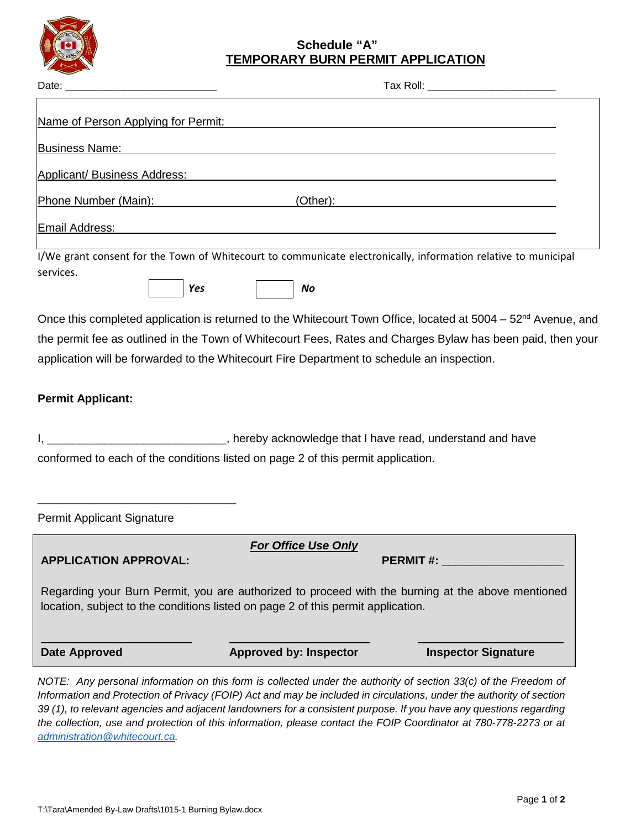

## **Schedule "A" TEMPORARY BURN PERMIT APPLICATION**

| Name of Person Applying for Permit:                                                                                                                                                                                            |                                                                  |                                                                                                                                                                                                                                                                                                                                                                                                                                                                                    |  |
|--------------------------------------------------------------------------------------------------------------------------------------------------------------------------------------------------------------------------------|------------------------------------------------------------------|------------------------------------------------------------------------------------------------------------------------------------------------------------------------------------------------------------------------------------------------------------------------------------------------------------------------------------------------------------------------------------------------------------------------------------------------------------------------------------|--|
| <b>Business Name:</b>                                                                                                                                                                                                          | <u> 1989 - Johann Barbara, martxa eta politikaria (h. 1989).</u> |                                                                                                                                                                                                                                                                                                                                                                                                                                                                                    |  |
| <b>Applicant/ Business Address:</b>                                                                                                                                                                                            |                                                                  |                                                                                                                                                                                                                                                                                                                                                                                                                                                                                    |  |
| Phone Number (Main): The Management of the Management of the Management of the Management of the Management of the Management of the Management of the Management of the Management of the Management of the Management of the |                                                                  |                                                                                                                                                                                                                                                                                                                                                                                                                                                                                    |  |
| Email Address: No. 2014   March 2014   March 2014   March 2014   March 2014   March 2014   March 2014   March                                                                                                                  |                                                                  |                                                                                                                                                                                                                                                                                                                                                                                                                                                                                    |  |
| services.<br>Yes                                                                                                                                                                                                               | No                                                               | I/We grant consent for the Town of Whitecourt to communicate electronically, information relative to municipal                                                                                                                                                                                                                                                                                                                                                                     |  |
| application will be forwarded to the Whitecourt Fire Department to schedule an inspection.                                                                                                                                     |                                                                  | Once this completed application is returned to the Whitecourt Town Office, located at 5004 – 52 <sup>nd</sup> Avenue, and<br>the permit fee as outlined in the Town of Whitecourt Fees, Rates and Charges Bylaw has been paid, then your                                                                                                                                                                                                                                           |  |
| <b>Permit Applicant:</b>                                                                                                                                                                                                       |                                                                  |                                                                                                                                                                                                                                                                                                                                                                                                                                                                                    |  |
| conformed to each of the conditions listed on page 2 of this permit application.                                                                                                                                               |                                                                  |                                                                                                                                                                                                                                                                                                                                                                                                                                                                                    |  |
| <b>Permit Applicant Signature</b>                                                                                                                                                                                              |                                                                  |                                                                                                                                                                                                                                                                                                                                                                                                                                                                                    |  |
| <b>APPLICATION APPROVAL:</b>                                                                                                                                                                                                   | <b>For Office Use Only</b>                                       | <b>PERMIT#:</b> The contract of the contract of the contract of the contract of the contract of the contract of the contract of the contract of the contract of the contract of the contract of the contract of the contract of the                                                                                                                                                                                                                                                |  |
| Regarding your Burn Permit, you are authorized to proceed with the burning at the above mentioned<br>location, subject to the conditions listed on page 2 of this permit application.                                          |                                                                  |                                                                                                                                                                                                                                                                                                                                                                                                                                                                                    |  |
| <b>Date Approved</b>                                                                                                                                                                                                           | <b>Approved by: Inspector</b>                                    | <b>Inspector Signature</b>                                                                                                                                                                                                                                                                                                                                                                                                                                                         |  |
|                                                                                                                                                                                                                                |                                                                  | NOTE: Any personal information on this form is collected under the authority of section 33(c) of the Freedom of<br>Information and Protection of Privacy (FOIP) Act and may be included in circulations, under the authority of section<br>39 (1), to relevant agencies and adjacent landowners for a consistent purpose. If you have any questions regarding<br>the collection, use and protection of this information, please contact the FOIP Coordinator at 780-778-2273 or at |  |

*[administration@whitecourt.ca.](mailto:administration@whitecourt.ca)*